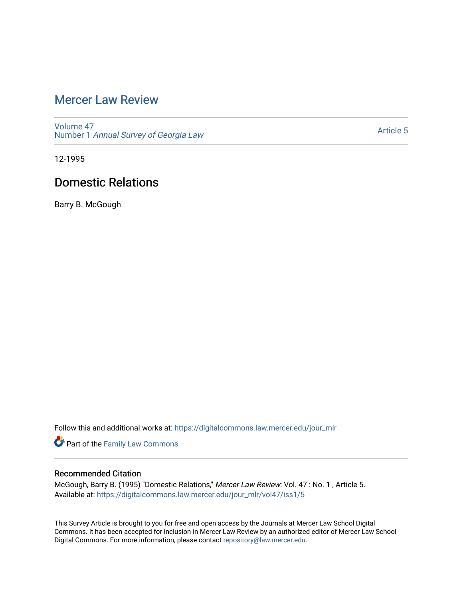# [Mercer Law Review](https://digitalcommons.law.mercer.edu/jour_mlr)

[Volume 47](https://digitalcommons.law.mercer.edu/jour_mlr/vol47) Number 1 [Annual Survey of Georgia Law](https://digitalcommons.law.mercer.edu/jour_mlr/vol47/iss1) 

[Article 5](https://digitalcommons.law.mercer.edu/jour_mlr/vol47/iss1/5) 

12-1995

# Domestic Relations

Barry B. McGough

Follow this and additional works at: [https://digitalcommons.law.mercer.edu/jour\\_mlr](https://digitalcommons.law.mercer.edu/jour_mlr?utm_source=digitalcommons.law.mercer.edu%2Fjour_mlr%2Fvol47%2Fiss1%2F5&utm_medium=PDF&utm_campaign=PDFCoverPages)

Part of the [Family Law Commons](http://network.bepress.com/hgg/discipline/602?utm_source=digitalcommons.law.mercer.edu%2Fjour_mlr%2Fvol47%2Fiss1%2F5&utm_medium=PDF&utm_campaign=PDFCoverPages) 

## Recommended Citation

McGough, Barry B. (1995) "Domestic Relations," Mercer Law Review: Vol. 47 : No. 1 , Article 5. Available at: [https://digitalcommons.law.mercer.edu/jour\\_mlr/vol47/iss1/5](https://digitalcommons.law.mercer.edu/jour_mlr/vol47/iss1/5?utm_source=digitalcommons.law.mercer.edu%2Fjour_mlr%2Fvol47%2Fiss1%2F5&utm_medium=PDF&utm_campaign=PDFCoverPages)

This Survey Article is brought to you for free and open access by the Journals at Mercer Law School Digital Commons. It has been accepted for inclusion in Mercer Law Review by an authorized editor of Mercer Law School Digital Commons. For more information, please contact [repository@law.mercer.edu](mailto:repository@law.mercer.edu).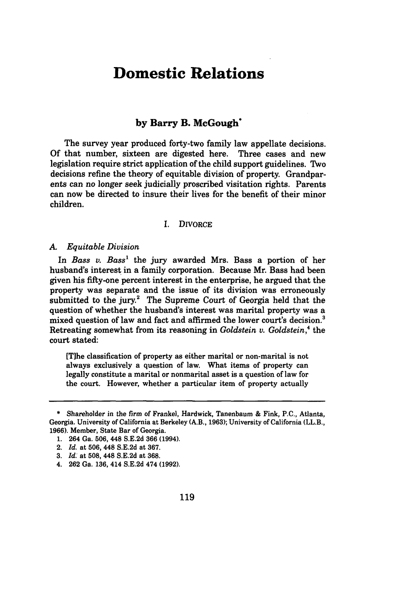# **Domestic Relations**

## **by Barry B. McGough\***

The survey year produced forty-two family law appellate decisions. Of that number, sixteen are digested here. Three cases and new legislation require strict application of the child support guidelines. Two decisions refine the theory of equitable division of property. Grandparents can no longer seek judicially proscribed visitation rights. Parents can now be directed to insure their lives for the benefit of their minor children.

### **1.** DIVORCE

#### *A Equitable Division*

In *Bass v. Bass'* the jury awarded Mrs. Bass a portion of her husband's interest in a family corporation. Because Mr. Bass had been given his fifty-one percent interest in the enterprise, he argued that the property was separate and the issue of its division was erroneously submitted to the jury.<sup>2</sup> The Supreme Court of Georgia held that the question of whether the husband's interest was marital property was a mixed question of law and fact and affirmed the lower court's decision.' Retreating somewhat from its reasoning in *Goldstein v. Goldstein,4* the court stated:

[Tihe classification of property as either marital or non-marital is not always exclusively a question of law. What items of property can legally constitute a marital or nonmarital asset is a question of law for the court. However, whether a particular item of property actually

<sup>\*</sup> Shareholder in the firm of Frankel, Hardwick, Tanenbaum & Fink, **P.C.,** Atlanta, Georgia. University of California at Berkeley (A.B., 1963); University of California (LL.B., 1966). Member, State Bar of Georgia.

<sup>1. 264</sup> Ga. 506, 448 S.E.2d 366 (1994).

<sup>2.</sup> *Id.* at 506, 448 S.E.2d at 367.

**<sup>3.</sup>** *Id:* at 508, 448 **S.E.2d** at 368.

<sup>4. 262</sup> Ga. 136, 414 S.E.2d 474 (1992).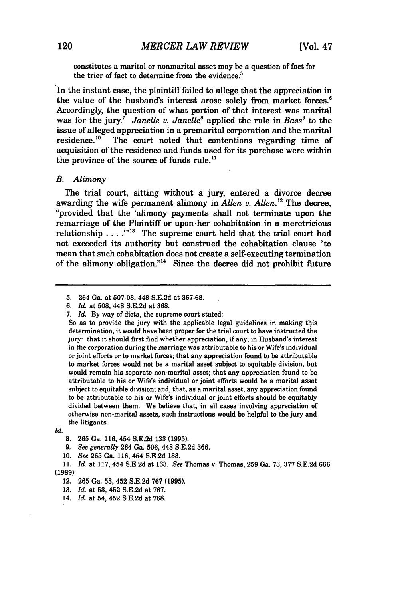constitutes a marital or nonmarital asset may be a question of fact for the trier of fact to determine from the evidence.<sup>5</sup>

In the instant case, the plaintiff failed to allege that the appreciation in the value of the husband's interest arose solely from market forces.<sup>6</sup> Accordingly, the question of what portion of that interest was marital was for the jury.<sup>7</sup> Janelle v. Janelle<sup>8</sup> applied the rule in Bass<sup>9</sup> to the issue of alleged appreciation in a premarital corporation and the marital<br>residence.<sup>10</sup> The court noted that contentions regarding time of The court noted that contentions regarding time of acquisition of the residence and funds used for its purchase were within the province of the source of funds rule.<sup>11</sup>

#### *B. Alimony*

The trial court, sitting without a jury, entered a divorce decree awarding the wife permanent alimony in *Allen v. Allen*.<sup>12</sup> The decree, "provided that the 'alimony payments shall not terminate upon the remarriage of the Plaintiff or upon-her cohabitation in a meretricious relationship **... "."** The supreme court held that the trial court had not exceeded its authority but construed the cohabitation clause "to mean that such cohabitation does not create a self-executing termination of the alimony obligation."14 Since the decree did not prohibit future

7. *Id,* **By** way of dicta, the supreme court stated:

*Id.*

**<sup>5.</sup>** 264 Ga. at **507-08,** 448 **S.E.2d** at **367-68.**

*<sup>6.</sup> Id.* at **508,** 448 **S.E.2d** at **368.**

So as to provide the jury with the applicable legal guidelines in making this determination, it would have been proper for the trial court to have instructed the jury: that it should first find whether appreciation, if any, in Husband's interest in the corporation during the marriage was attributable to his or Wife's individual or joint efforts or to market forces; that any appreciation found to be attributable to market forces would not be a marital asset subject to equitable division, but would remain his separate non-marital asset; that any appreciation found to be attributable to his or Wife's individual or joint efforts would be a marital asset subject to equitable division; and, that, as a marital asset, any appreciation found to be attributable to his or Wife's individual or joint efforts should be equitably divided between them. We believe that, in all cases involving appreciation of otherwise non-marital assets, such instructions would be helpful to the jury and the litigants.

**<sup>8. 265</sup>** Ga. 116, 454 S.E.2d **133 (1995).**

**<sup>9.</sup>** *See generally* 264 Ga. **506,** 448 S.E.2d **366.**

**<sup>10.</sup>** *See* **265** Ga. 116, 454 S.E.2d **133.**

<sup>11.</sup> *Id.* at 117, 454 S.E.2d at **133.** *See* Thomas v. Thomas, **259** Ga. **73, 377** S.E.2d **666 (1989).**

<sup>12.</sup> **265** Ga. **53,** 452 **S.E.2d 767** (1995).

**<sup>13.</sup>** *Id.* at **53,** 452 S.E.2d at **767.**

<sup>14.</sup> *Id.* at 54, 452 S.E.2d at 768.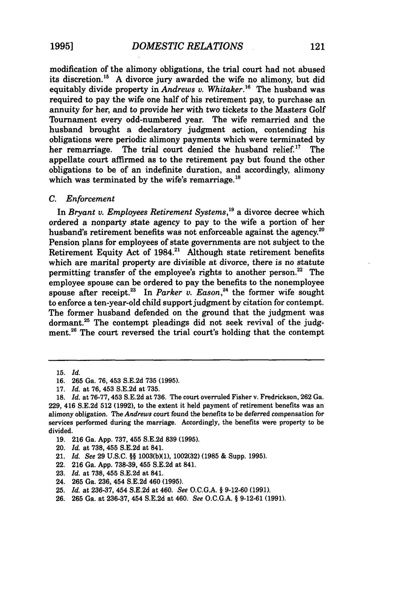modification of the alimony obligations, the trial court had not abused its discretion.15 **A** divorce jury awarded the wife no alimony, but did equitably divide property in *Andrews v. Whitaker.16* The husband was required to pay the wife one half of his retirement pay, to purchase an annuity for her, and to provide her with two tickets to the Masters Golf Tournament every odd-numbered year. The wife remarried and the husband brought a declaratory judgment action, contending his obligations were periodic alimony payments which were terminated **by** her remarriage. The trial court denied the husband relief.<sup>17</sup> The appellate court affirmed as to the retirement pay but found the other obligations to be of an indefinite duration, and accordingly, alimony which was terminated by the wife's remarriage.<sup>16</sup>

#### *C. Enforcement*

In *Bryant v. Employees Retirement Systems,19* a divorce decree which ordered a nonparty state agency to pay to the wife a portion of her husband's retirement benefits was not enforceable against the agency.<sup>20</sup> Pension plans for employees of state governments are not subject to the Retirement Equity Act of 1984.<sup>21</sup> Although state retirement benefits which are marital property are divisible at divorce, there is no statute permitting transfer of the employee's rights to another person.<sup>22</sup> The employee spouse can be ordered to pay the benefits to the nonemployee spouse after receipt.<sup>23</sup> In *Parker v. Eason*,<sup>24</sup> the former wife sought to enforce a ten-year-old child support judgment by citation for contempt. The former husband defended on the ground that the judgment was dormant.<sup>25</sup> The contempt pleadings did not seek revival of the judgment.<sup>26</sup> The court reversed the trial court's holding that the contempt

- **19. 216** Ga. **App. 737,** 455 **S.E.2d 839 (1995).**
- 20. *Id.* at **738, 455 S.E.2d** at 841.
- 21. *Id. See* **29 U.S.C. §§ 1003(bXl), 1002(32) (1985 &** Supp. **1995).**
- 22. **216** Ga. **App. 738-39,** 455 **S.E.2d** at 841.
- **23.** *Id.* at **738, 455 S.E.2d** at 841.
- **24. 265** Ga. **236,** 454 **S.E.2d** 460 **(1995).**
- **25.** *Id.* at 236-37, 454 **S.E.2d** at 460. *See* O.C.G.A. § 9-12-60 (1991).
- 26. **265** Ga. at 236-37, 454 S.E.2d at 460. *See* O.C.G.A. § 9-12-61 (1991).

<sup>15.</sup> *Id.*

<sup>16. 265</sup> Ga. 76, **453** S.E.2d 735 (1995).

<sup>17.</sup> *Id.* at 76, 453 S.E.2d at 735.

<sup>18.</sup> *Id.* at 76-77, 453 S.E.2d at 736. The court overruled Fisher v. Fredrickson, 262 Ga. 229, 416 S.E.2d 512 (1992), to the extent it held payment of retirement benefits was an alimony obligation. *TheAndrews* court found the benefits to be deferred compensation for services performed during the marriage. Accordingly, the benefits were property to be divided.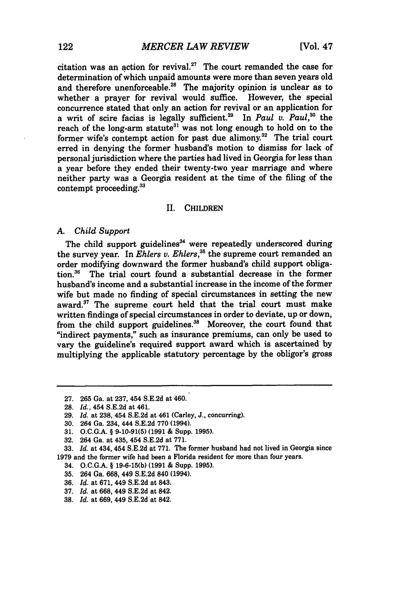citation was an action for revival.<sup>27</sup> The court remanded the case for determination of which unpaid amounts were more than seven years old and therefore unenforceable.<sup>28</sup> The majority opinion is unclear as to whether a prayer for revival would suffice. However, the special concurrence stated that only an action for revival or an application for a writ of scire facias is legally sufficient.<sup>29</sup> In *Paul v. Paul*,<sup>30</sup> the reach of the long-arm statute<sup>31</sup> was not long enough to hold on to the former wife's contempt action for past due  $\overline{ \text{alimony.}}^{32}$  The trial court erred in denying the former husband's motion to dismiss for lack of personal jurisdiction where the parties had lived in Georgia for less than a year before they ended their twenty-two year marriage and where neither party was a Georgia resident at the time of the filing of the contempt proceeding.33

#### II. CHILDREN

#### *A. Child Support*

The child support guidelines<sup>34</sup> were repeatedly underscored during the survey year. In *Ehlers v. Ehlers,35* the supreme court remanded an order modifying downward the former husband's child support obliga**tion.36** The trial court found a substantial decrease in the former husband's income and a substantial increase in the income of the former wife but made no finding of special circumstances in setting the new award.<sup>37</sup> The supreme court held that the trial court must make written findings of special circumstances in order to deviate, up or down, from the child support guidelines.<sup>38</sup> Moreover, the court found that "indirect payments," such as insurance premiums, can only be used to vary the guideline's required support award which is ascertained **by** multiplying the applicable statutory percentage by the obligor's gross

- **36.** *Id.* at 671, 449 S.E.2d at 843.
- **37.** *Id.* at 668, 449 S.E.2d at 842.
- **38.** *Id.* at 669, 449 S.E.2d at 842.

<sup>27.</sup> **265** Ga. at 237, 454 S.E.2d at 460.

**<sup>28.</sup>** *Id.,* 454 S.E.2d at 461.

<sup>29.</sup> *Id.* at 238, 454 S.E.2d at 461 (Carley, J., concurring).

**<sup>30.</sup>** 264 Ga. 234, 444 S.E.2d 770 (1994).

**<sup>31.</sup>** O.C.G.A. § 9-10-91(5) **(1991** & Supp. **1995).**

<sup>32. 264</sup> Ga. at 435, 454 S.E.2d at 771.

<sup>33.</sup> *Id.* at 434, 454 S.E.2d at 771. The former husband had not lived in Georgia since 1979 and the former wife had been a Florida resident for more than four years.

**<sup>34.</sup> O.C.G.A.** § **19-6-15(b) (1991** & Supp. **1995).**

<sup>35. 264</sup> Ga. 668, 449 S.E.2d 840 (1994).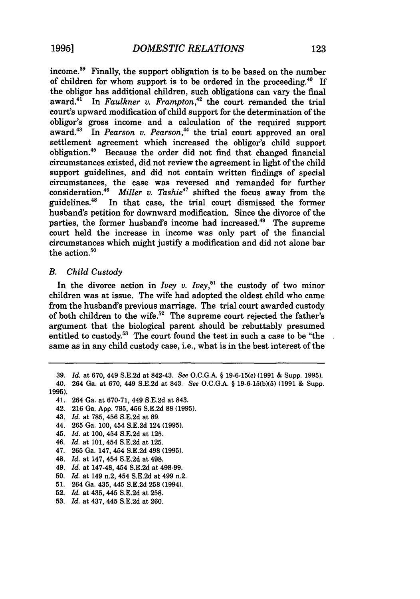income.<sup>39</sup> Finally, the support obligation is to be based on the number of children for whom support is to be ordered in the proceeding. $40$  If the obligor has additional children, such obligations can vary the final award. $4^1$  In *Faulkner v. Frampton*<sup>42</sup> the court remanded the trial court's upward modification of child support for the determination of the obligor's gross income and a calculation of the required support award.<sup>43</sup> In *Pearson v. Pearson*,<sup>44</sup> the trial court approved an oral settlement agreement which increased the obligor's child support obligation.4" Because the order did not find that changed financial circumstances existed, did not review the agreement in light of the child support guidelines, and did not contain written findings of special circumstances, the case was reversed and remanded for further consideration.46 *Miller v. Tashie47* shifted the focus away from the guidelines.<sup>48</sup> In that case, the trial court dismissed the former husband's petition for downward modification. Since the divorce of the parties, the former husband's income had increased.<sup>49</sup> The supreme court held the increase in income was only part of the financial circumstances which might justify a modification and did not alone bar the action. $50$ 

### *B. Child Custody*

In the divorce action in *Ivey v. Ivey*,<sup>51</sup> the custody of two minor children was at issue. The wife had adopted the oldest child who came from the husband's previous marriage. The trial court awarded custody of both children to the wife.<sup>52</sup> The supreme court rejected the father's argument that the biological parent should be rebuttably presumed entitled to custody.53 The court found the test in such a case to be "the same as in any child custody case, i.e., what is in the best interest of the

**39.** *Id.* at 670, 449 **S.E.2d** at 842-43. *See* O.C.G.A. § 19-6-15(c) **(1991** & Supp. **1995). 40.** 264 Ga. at 670, 449 S.E.2d at 843. *See* O.C.G.A. § 19-6-15(bX5) (1991 & Supp.

1995).

- **42.** 216 Ga. App. 785, 456 S.E.2d 88 (1995).
- **43.** *Id.* at 785, 456 S.E.2d at **89.**
- 44. 265 Ga. 100, 454 S.E.2d 124 (1995).
- **45.** *Id.* at 100, 454 S.E.2d at 125.
- **46.** *Id.* at 101, 454 S.E.2d at 125.
- 47. 265 Ga. 147, 454 S.E.2d 498 **(1995).**
- 48. *Id.* at 147, 454 **S.E.2d** at 498.
- 49. *Id.* at 147-48, 454 S.E.2d at 498-99.
- 50. *Id.* at 149 n.2, 454 S.E.2d at 499 n.2.
- **51.** 264 Ga. 435, 445 S.E.2d **258** (1994).
- 52. *Id.* at 435, 445 S.E.2d at **258.**
- **53.** *Id.* at 437, 445 S.E.2d at 260.

<sup>41. 264</sup> Ga. at 670-71, 449 S.E.2d at 843.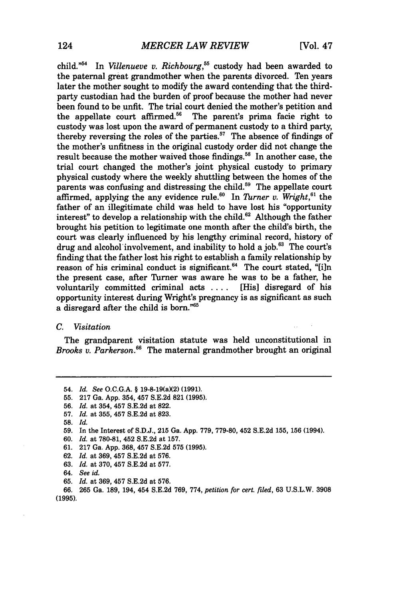child."54 In *Villenueve v. Richbourg,"5* custody had been awarded to the paternal great grandmother when the parents divorced. Ten years later the mother sought to modify the award contending that the thirdparty custodian had the burden of proof because the mother had never been found to be unfit. The trial court denied the mother's petition and the appellate court affirmed.<sup>56</sup> The parent's prima facie right to custody was lost upon the award of permanent custody to a third party, thereby reversing the roles of the parties. $57$  The absence of findings of the mother's unfitness in the original custody order did not change the result because the mother waived those findings.<sup>58</sup> In another case, the trial court changed the mother's joint physical custody to primary physical custody where the weekly shuttling between the homes of the parents was confusing and distressing the child.<sup>59</sup> The appellate court affirmed, applying the any evidence rule.<sup>60</sup> In *Turner v. Wright*,<sup>61</sup> the father of an illegitimate child was held to have lost his "opportunity interest" to develop a relationship with the child.<sup>62</sup> Although the father brought his petition to legitimate one month after the child's birth, the court was clearly influenced by his lengthy criminal record, history of drug and alcohol involvement, and inability to hold a job.<sup>63</sup> The court's finding that the father lost his right to establish a family relationship by reason of his criminal conduct is significant. $64$  The court stated, "[i]n the present case, after Turner was aware he was to be a father, he voluntarily committed criminal acts .... [His] disregard of his opportunity interest during Wright's pregnancy is as significant as such a disregard after the child is born."<sup>65</sup>

### *C. Visitation*

The grandparent visitation statute was held unconstitutional in *Brooks v. Parkerson.66* The maternal grandmother brought an original

61. 217 Ga. App. 368, 457 S.E.2d **575 (1995).**

**63.** *Id.* at 370, 457 S.E.2d at 577.

**65.** *Id.* at 369, 457 S.E.2d at 576.

<sup>54.</sup> *Id.* See O.C.G.A. § 19-8-19(a)(2) (1991).

**<sup>55.</sup>** 217 Ga. App. 354, 457 S.E.2d 821 **(1995).**

**<sup>56.</sup>** *Id.* at 354, 457 S.E.2d at 822.

**<sup>57.</sup>** *Id.* at 355, 457 S.E.2d at 823.

<sup>58.</sup> *Id.*

**<sup>59.</sup>** In the Interest of S.D.J., **215** Ga. App. 779, 779-80, 452 S.E.2d 155, 156 (1994).

<sup>60.</sup> *Id.* at 780-81, 452 S.E.2d at 157.

<sup>62.</sup> *Id.* at 369, 457 S.E.2d at 576.

<sup>64.</sup> *See id.*

<sup>66.</sup> **265** Ga. 189, 194, 454 S.E.2d 769, 774, *petition for cert. filed,* 63 U.S.L.W. 3908 (1995).